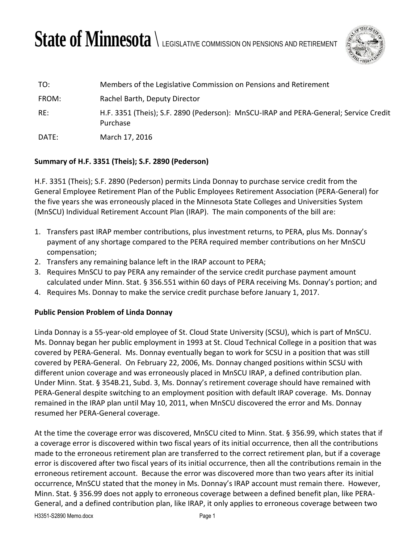## State of Minnesota  $\setminus$  legislative commission on pensions and retirement



| TO:   | Members of the Legislative Commission on Pensions and Retirement                                 |
|-------|--------------------------------------------------------------------------------------------------|
| FROM: | Rachel Barth, Deputy Director                                                                    |
| RE:   | H.F. 3351 (Theis); S.F. 2890 (Pederson): MnSCU-IRAP and PERA-General; Service Credit<br>Purchase |
| DATE: | March 17, 2016                                                                                   |

## **Summary of H.F. 3351 (Theis); S.F. 2890 (Pederson)**

H.F. 3351 (Theis); S.F. 2890 (Pederson) permits Linda Donnay to purchase service credit from the General Employee Retirement Plan of the Public Employees Retirement Association (PERA-General) for the five years she was erroneously placed in the Minnesota State Colleges and Universities System (MnSCU) Individual Retirement Account Plan (IRAP). The main components of the bill are:

- 1. Transfers past IRAP member contributions, plus investment returns, to PERA, plus Ms. Donnay's payment of any shortage compared to the PERA required member contributions on her MnSCU compensation;
- 2. Transfers any remaining balance left in the IRAP account to PERA;
- 3. Requires MnSCU to pay PERA any remainder of the service credit purchase payment amount calculated under Minn. Stat. § 356.551 within 60 days of PERA receiving Ms. Donnay's portion; and
- 4. Requires Ms. Donnay to make the service credit purchase before January 1, 2017.

## **Public Pension Problem of Linda Donnay**

Linda Donnay is a 55-year-old employee of St. Cloud State University (SCSU), which is part of MnSCU. Ms. Donnay began her public employment in 1993 at St. Cloud Technical College in a position that was covered by PERA-General. Ms. Donnay eventually began to work for SCSU in a position that was still covered by PERA-General. On February 22, 2006, Ms. Donnay changed positions within SCSU with different union coverage and was erroneously placed in MnSCU IRAP, a defined contribution plan. Under Minn. Stat. § 354B.21, Subd. 3, Ms. Donnay's retirement coverage should have remained with PERA-General despite switching to an employment position with default IRAP coverage. Ms. Donnay remained in the IRAP plan until May 10, 2011, when MnSCU discovered the error and Ms. Donnay resumed her PERA-General coverage.

At the time the coverage error was discovered, MnSCU cited to Minn. Stat. § 356.99, which states that if a coverage error is discovered within two fiscal years of its initial occurrence, then all the contributions made to the erroneous retirement plan are transferred to the correct retirement plan, but if a coverage error is discovered after two fiscal years of its initial occurrence, then all the contributions remain in the erroneous retirement account. Because the error was discovered more than two years after its initial occurrence, MnSCU stated that the money in Ms. Donnay's IRAP account must remain there. However, Minn. Stat. § 356.99 does not apply to erroneous coverage between a defined benefit plan, like PERA-General, and a defined contribution plan, like IRAP, it only applies to erroneous coverage between two